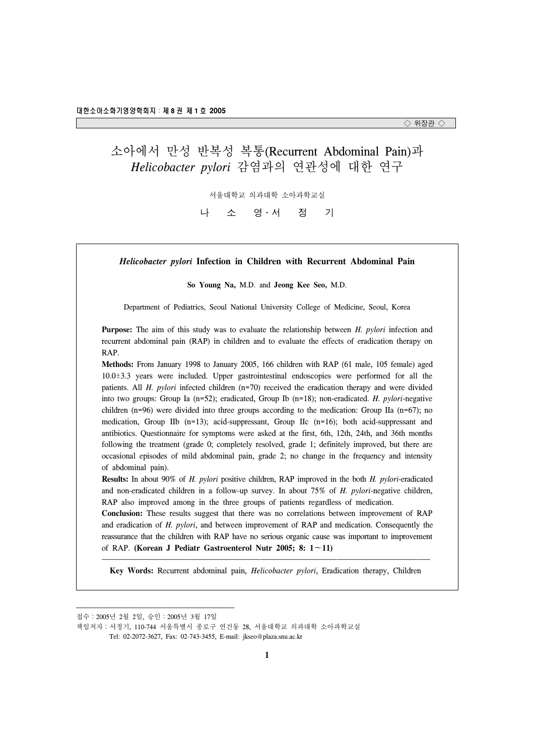# 소아에서 만성 반복성 복통(Recurrent Abdominal Pain)과 *Helicobacter pylori* 감염과의 연관성에 대한 연구

서울대학교 의과대학 소아과학교실

나 소 영․서 정 기

| Helicobacter pylori Infection in Children with Recurrent Abdominal Pain                                                                                                                                                                                                                                                                                                                                                                                                                                                                                                                                                                                                                                                                                                                                                                                                                                                                                               |
|-----------------------------------------------------------------------------------------------------------------------------------------------------------------------------------------------------------------------------------------------------------------------------------------------------------------------------------------------------------------------------------------------------------------------------------------------------------------------------------------------------------------------------------------------------------------------------------------------------------------------------------------------------------------------------------------------------------------------------------------------------------------------------------------------------------------------------------------------------------------------------------------------------------------------------------------------------------------------|
| So Young Na, M.D. and Jeong Kee Seo, M.D.                                                                                                                                                                                                                                                                                                                                                                                                                                                                                                                                                                                                                                                                                                                                                                                                                                                                                                                             |
| Department of Pediatrics, Seoul National University College of Medicine, Seoul, Korea                                                                                                                                                                                                                                                                                                                                                                                                                                                                                                                                                                                                                                                                                                                                                                                                                                                                                 |
| <b>Purpose:</b> The aim of this study was to evaluate the relationship between H. pylori infection and<br>recurrent abdominal pain (RAP) in children and to evaluate the effects of eradication therapy on<br>RAP.                                                                                                                                                                                                                                                                                                                                                                                                                                                                                                                                                                                                                                                                                                                                                    |
| Methods: From January 1998 to January 2005, 166 children with RAP (61 male, 105 female) aged<br>$10.0\pm3.3$ years were included. Upper gastrointestinal endoscopies were performed for all the<br>patients. All H. pylori infected children (n=70) received the eradication therapy and were divided<br>into two groups: Group Ia $(n=52)$ ; eradicated, Group Ib $(n=18)$ ; non-eradicated. <i>H. pylori-negative</i><br>children ( $n=96$ ) were divided into three groups according to the medication: Group IIa ( $n=67$ ); no<br>medication, Group IIb (n=13); acid-suppressant, Group IIc (n=16); both acid-suppressant and<br>antibiotics. Questionnaire for symptoms were asked at the first, 6th, 12th, 24th, and 36th months<br>following the treatment (grade 0; completely resolved, grade 1; definitely improved, but there are<br>occasional episodes of mild abdominal pain, grade 2; no change in the frequency and intensity<br>of abdominal pain). |
| <b>Results:</b> In about 90% of <i>H. pylori</i> positive children, RAP improved in the both <i>H. pylori-eradicated</i><br>and non-eradicated children in a follow-up survey. In about 75% of H. pylori-negative children,<br>RAP also improved among in the three groups of patients regardless of medication.<br>Conclusion: These results suggest that there was no correlations between improvement of RAP<br>and eradication of H. pylori, and between improvement of RAP and medication. Consequently the                                                                                                                                                                                                                                                                                                                                                                                                                                                      |

reassurance that the children with RAP have no serious organic cause was important to improvement of RAP. **(Korean J Pediatr Gastroenterol Nutr 2005; 8: 1**∼**11)**

 **Key Words:** Recurrent abdominal pain, *Helicobacter pylori*, Eradication therapy, Children

접수:2005년 2월 2일, 승인:2005년 3월 17일

책임저자:서정기, 110-744 서울특별시 종로구 연건동 28, 서울대학교 의과대학 소아과학교실

Tel: 02-2072-3627, Fax: 02-743-3455, E-mail: jkseo@plaza.snu.ac.kr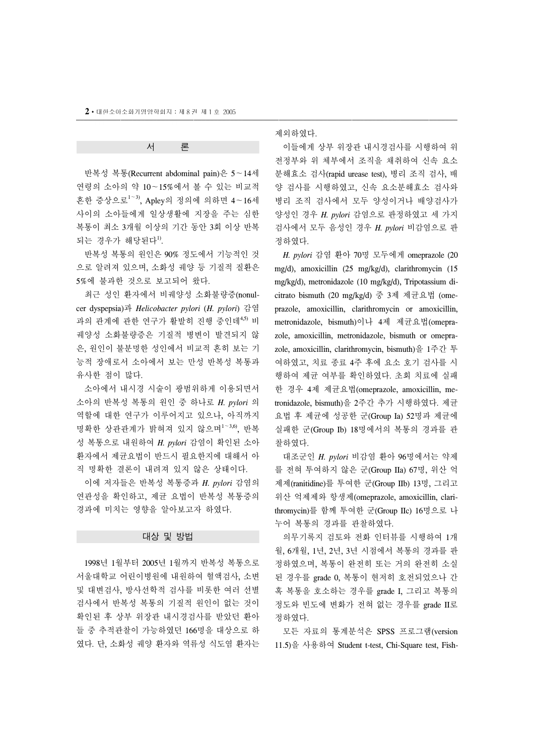## 서 론

 반복성 복통(Recurrent abdominal pain)은 5∼14세 연령의 소아의 약 10∼15%에서 볼 수 있는 비교적 흔한 증상으로<sup>1</sup>∼3), Apley의 정의에 의하면 4∼16세 사이의 소아들에게 일상생활에 지장을 주는 심한 복통이 최소 3개월 이상의 기간 동안 3회 이상 반복 되는 경우가 해당된다1).

 반복성 복통의 원인은 90% 정도에서 기능적인 것 으로 알려져 있으며, 소화성 궤양 등 기질적 질환은 5%에 불과한 것으로 보고되어 왔다.

 최근 성인 환자에서 비궤양성 소화불량증(nonulcer dyspepsia)과 *Helicobacter pylori* (*H. pylori*) 감염 과의 관계에 관한 연구가 활발히 진행 중인데<sup>4,5)</sup> 비 궤양성 소화불량증은 기질적 병변이 발견되지 않 은, 원인이 불분명한 성인에서 비교적 흔히 보는 기 능적 장애로서 소아에서 보는 만성 반복성 복통과 유사한 점이 많다.

 소아에서 내시경 시술이 광범위하게 이용되면서 소아의 반복성 복통의 원인 중 하나로 *H. pylori* 의 역할에 대한 연구가 이루어지고 있으나, 아직까지 명확한 상관관계가 밝혀져 있지 않으며<sup>1</sup>∼3,6), 반복 성 복통으로 내원하여 *H. pylori* 감염이 확인된 소아 환자에서 제균요법이 반드시 필요한지에 대해서 아 직 명확한 결론이 내려져 있지 않은 상태이다.

 이에 저자들은 반복성 복통증과 *H. pylori* 감염의 연관성을 확인하고, 제균 요법이 반복성 복통증의 경과에 미치는 영향을 알아보고자 하였다.

### 대상 및 방법

 1998년 1월부터 2005년 1월까지 반복성 복통으로 서울대학교 어린이병원에 내원하여 혈액검사, 소변 및 대변검사, 방사선학적 검사를 비롯한 여러 선별 검사에서 반복성 복통의 기질적 원인이 없는 것이 확인된 후 상부 위장관 내시경검사를 받았던 환아 들 중 추적관찰이 가능하였던 166명을 대상으로 하 였다. 단, 소화성 궤양 환자와 역류성 식도염 환자는 제외하였다.

 이들에게 상부 위장관 내시경검사를 시행하여 위 전정부와 위 체부에서 조직을 채취하여 신속 요소 분해효소 검사(rapid urease test), 병리 조직 검사, 배 양 검사를 시행하였고, 신속 요소분해효소 검사와 병리 조직 검사에서 모두 양성이거나 배양검사가 양성인 경우 *H. pylori* 감염으로 판정하였고 세 가지 검사에서 모두 음성인 경우 *H. pylori* 비감염으로 판 정하였다.

 *H. pylori* 감염 환아 70명 모두에게 omeprazole (20 mg/d), amoxicillin (25 mg/kg/d), clarithromycin (15 mg/kg/d), metronidazole (10 mg/kg/d), Tripotassium dicitrato bismuth (20 mg/kg/d) 중 3제 제균요법 (omeprazole, amoxicillin, clarithromycin or amoxicillin, metronidazole, bismuth)이나 4제 제균요법(omeprazole, amoxicillin, metronidazole, bismuth or omeprazole, amoxicillin, clarithromycin, bismuth)을 1주간 투 여하였고, 치료 종료 4주 후에 요소 호기 검사를 시 행하여 제균 여부를 확인하였다. 초회 치료에 실패 한 경우 4제 제균요법(omeprazole, amoxicillin, metronidazole, bismuth)을 2주간 추가 시행하였다. 제균 요법 후 제균에 성공한 군(Group Ia) 52명과 제균에 실패한 군(Group Ib) 18명에서의 복통의 경과를 관 찰하였다.

 대조군인 *H. pylori* 비감염 환아 96명에서는 약제 를 전혀 투여하지 않은 군(Group IIa) 67명, 위산 억 제제(ranitidine)를 투여한 군(Group IIb) 13명, 그리고 위산 억제제와 항생제(omeprazole, amoxicillin, clarithromycin)를 함께 투여한 군(Group IIc) 16명으로 나 누어 복통의 경과를 관찰하였다.

 의무기록지 검토와 전화 인터뷰를 시행하여 1개 월, 6개월, 1년, 2년, 3년 시점에서 복통의 경과를 판 정하였으며, 복통이 완전히 또는 거의 완전히 소실 된 경우를 grade 0, 복통이 현저히 호전되었으나 간 혹 복통을 호소하는 경우를 grade I, 그리고 복통의 정도와 빈도에 변화가 전혀 없는 경우를 grade II로 정하였다.

 모든 자료의 통계분석은 SPSS 프로그램(version 11.5)을 사용하여 Student t-test, Chi-Square test, Fish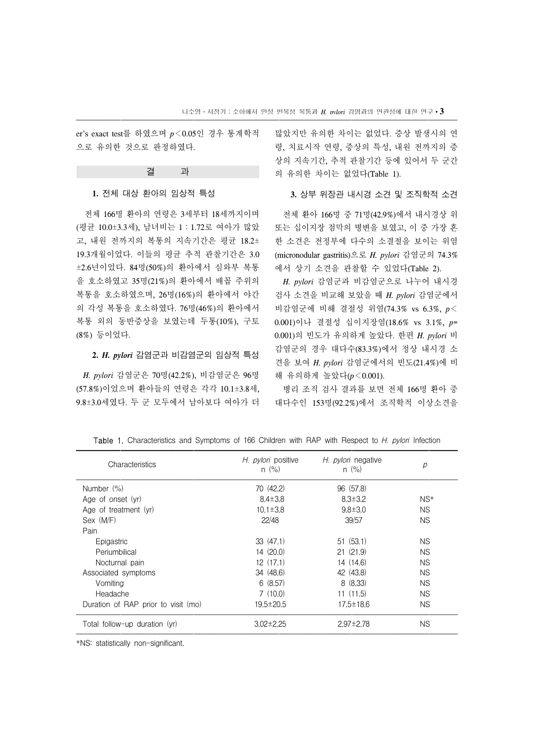er's exact test를 하였으며 *p*<0.05인 경우 통계학적 으로 유의한 것으로 판정하였다.

#### 결 과

#### **1.** 전체 대상 환아의 임상적 특성

 전체 166명 환아의 연령은 3세부터 18세까지이며 (평균 10.0±3.3세), 남녀비는 1:1.72로 여아가 많았 고, 내원 전까지의 복통의 지속기간은 평균 18.2± 19.3개월이었다. 이들의 평균 추적 관찰기간은 3.0 ±2.6년이었다. 84명(50%)의 환아에서 심와부 복통 을 호소하였고 35명(21%)의 환아에서 배꼽 주위의 복통을 호소하였으며, 26명(16%)의 환아에서 야간 의 각성 복통을 호소하였다. 76명(46%)의 환아에서 복통 외의 동반증상을 보였는데 두통(10%), 구토 (8%) 등이었다.

#### **2.** *H. pylori* 감염군과 비감염군의 임상적 특성

 *H. pylori* 감염군은 70명(42.2%), 비감염군은 96명 (57.8%)이었으며 환아들의 연령은 각각 10.1±3.8세, 9.8±3.0세였다. 두 군 모두에서 남아보다 여아가 더 많았지만 유의한 차이는 없었다. 증상 발생시의 연 령, 치료시작 연령, 증상의 특성, 내원 전까지의 증 상의 지속기간, 추적 관찰기간 등에 있어서 두 군간 의 유의한 차이는 없었다(Table 1).

### **3.** 상부 위장관 내시경 소견 및 조직학적 소견

 전체 환아 166명 중 71명(42.9%)에서 내시경상 위 또는 십이지장 점막의 병변을 보였고, 이 중 가장 흔 한 소견은 전정부에 다수의 소결절을 보이는 위염 (micronodular gastritis)으로 *H. pylori* 감염군의 74.3% 에서 상기 소견을 관찰할 수 있었다(Table 2).

 *H. pylori* 감염군과 비감염군으로 나누어 내시경 검사 소견을 비교해 보았을 때 *H. pylori* 감염군에서 비감염군에 비해 결절성 위염(74.3% vs 6.3%, *p*< 0.001)이나 결절성 십이지장염(18.6% vs 3.1%, *p*= 0.001)의 빈도가 유의하게 높았다. 한편 *H. pylori* 비 감염군의 경우 대다수(83.3%)에서 정상 내시경 소 견을 보여 *H. pylori* 감염군에서의 빈도(21.4%)에 비 해 유의하게 높았다(*p*<0.001).

 병리 조직 검사 결과를 보면 전체 166명 환아 중 대다수인 153명(92.2%)에서 조직학적 이상소견을

| Characteristics                     | H. <i>pylori</i> positive<br>$n \ (\%)$ | H. <i>pylori</i> negative<br>$n (\%)$ | р         |
|-------------------------------------|-----------------------------------------|---------------------------------------|-----------|
| Number (%)                          | 70(42.2)                                | 96 (57.8)                             |           |
| Age of onset (yr)                   | $8.4 \pm 3.8$                           | $8.3 \pm 3.2$                         | NS*       |
| Age of treatment (yr)               | $10.1 \pm 3.8$                          | $9.8 \pm 3.0$                         | NS.       |
| Sex (M/F)                           | 22/48                                   | 39/57                                 | <b>NS</b> |
| Pain                                |                                         |                                       |           |
| Epigastric                          | 33(47.1)                                | 51(53.1)                              | <b>NS</b> |
| Periumbilical                       | 14(20.0)                                | 21(21.9)                              | <b>NS</b> |
| Nocturnal pain                      | 12(17.1)                                | 14(14.6)                              | <b>NS</b> |
| Associated symptoms                 | 34 (48.6)                               | 42 (43.8)                             | <b>NS</b> |
| Vomiting                            | 6(8.57)                                 | 8(8.33)                               | <b>NS</b> |
| Headache                            | 7(10.0)                                 | 11(11.5)                              | <b>NS</b> |
| Duration of RAP prior to visit (mo) | $19.5 \pm 20.5$                         | $17.5 \pm 18.6$                       | <b>NS</b> |
| Total follow-up duration (yr)       | $3.02 \pm 2.25$                         | $2.97 \pm 2.78$                       | <b>NS</b> |

Table 1. Characteristics and Symptoms of 166 Children with RAP with Respect to *H. pylori* Infection

\*NS: statistically non-significant.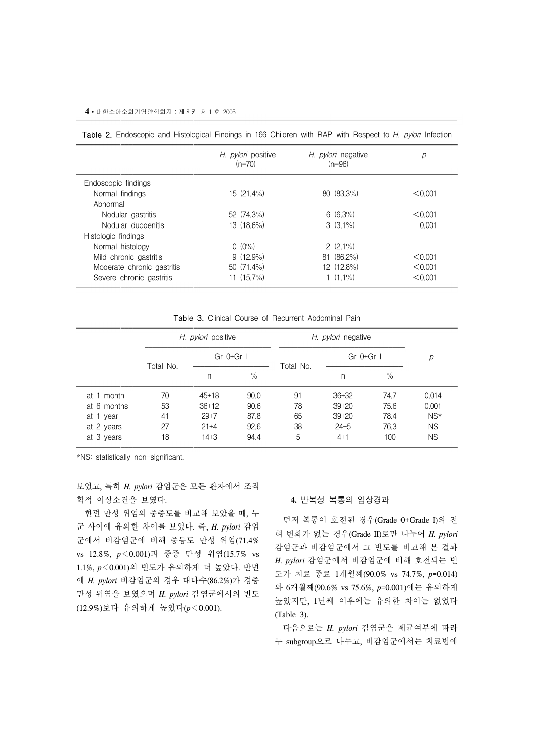|                            | H. <i>pylori</i> positive<br>$(n=70)$ | H. <i>pylori</i> negative<br>(n=96) | р       |
|----------------------------|---------------------------------------|-------------------------------------|---------|
| Endoscopic findings        |                                       |                                     |         |
| Normal findings            | $15(21.4\%)$                          | $80(83.3\%)$                        | < 0.001 |
| Abnormal                   |                                       |                                     |         |
| Nodular gastritis          | 52(74.3%)                             | $6(6.3\%)$                          | < 0.001 |
| Nodular duodenitis         | $13(18.6\%)$                          | $3(3.1\%)$                          | 0.001   |
| Histologic findings        |                                       |                                     |         |
| Normal histology           | $(0.0\%)$                             | $2(2.1\%)$                          |         |
| Mild chronic gastritis     | $9(12.9\%)$                           | $81(86.2\%)$                        | < 0.001 |
| Moderate chronic gastritis | $50(71.4\%)$                          | $12(12.8\%)$                        | < 0.001 |
| Severe chronic gastritis   | 11 (15.7%)                            | 1 (1.1%)                            | < 0.001 |

|  | Table 2. Endoscopic and Histological Findings in 166 Children with RAP with Respect to H. pylori Infection |  |  |  |  |  |  |  |  |  |  |  |  |  |
|--|------------------------------------------------------------------------------------------------------------|--|--|--|--|--|--|--|--|--|--|--|--|--|
|--|------------------------------------------------------------------------------------------------------------|--|--|--|--|--|--|--|--|--|--|--|--|--|

Table 3. Clinical Course of Recurrent Abdominal Pain

|               |           | H. <i>pylori</i> positive |      | H. <i>pylori</i> negative |                |      |           |
|---------------|-----------|---------------------------|------|---------------------------|----------------|------|-----------|
|               |           | Gr $0+Gr$                 |      | Total No.                 | $Gr$ 0+ $Gr$ 1 | р    |           |
|               | Total No. | n                         | $\%$ |                           | n              | $\%$ |           |
| month<br>at 1 | 70        | $45+18$                   | 90.0 | 91                        | $36 + 32$      | 74.7 | 0.014     |
| at 6 months   | 53        | $36+12$                   | 90.6 | 78                        | $39 + 20$      | 75.6 | 0.001     |
| at 1 year     | 41        | $29 + 7$                  | 87.8 | 65                        | $39 + 20$      | 78.4 | $NS*$     |
| at 2 years    | 27        | $21 + 4$                  | 92.6 | 38                        | $24 + 5$       | 76.3 | <b>NS</b> |
| at 3 years    | 18        | $14 + 3$                  | 94.4 | 5                         | $4 + 1$        | 100  | <b>NS</b> |

\*NS: statistically non-significant.

보였고, 특히 *H. pylori* 감염군은 모든 환자에서 조직 학적 이상소견을 보였다.

 한편 만성 위염의 중증도를 비교해 보았을 때, 두 군 사이에 유의한 차이를 보였다. 즉, *H. pylori* 감염 군에서 비감염군에 비해 중등도 만성 위염(71.4% vs 12.8%, *p*<0.001)과 중증 만성 위염(15.7% vs 1.1%, *p*<0.001)의 빈도가 유의하게 더 높았다. 반면 에 *H. pylori* 비감염군의 경우 대다수(86.2%)가 경증 만성 위염을 보였으며 *H. pylori* 감염군에서의 빈도 (12.9%)보다 유의하게 높았다(*p*<0.001).

## **4.** 반복성 복통의 임상경과

 먼저 복통이 호전된 경우(Grade 0+Grade I)와 전 혀 변화가 없는 경우(Grade II)로만 나누어 *H. pylori*  감염군과 비감염군에서 그 빈도를 비교해 본 결과 *H. pylori* 감염군에서 비감염군에 비해 호전되는 빈 도가 치료 종료 1개월째(90.0% vs 74.7%, *p*=0.014) 와 6개월째(90.6% vs 75.6%, *p*=0.001)에는 유의하게 높았지만, 1년째 이후에는 유의한 차이는 없었다 (Table 3).

 다음으로는 *H. pylori* 감염군을 제균여부에 따라 두 subgroup으로 나누고, 비감염군에서는 치료법에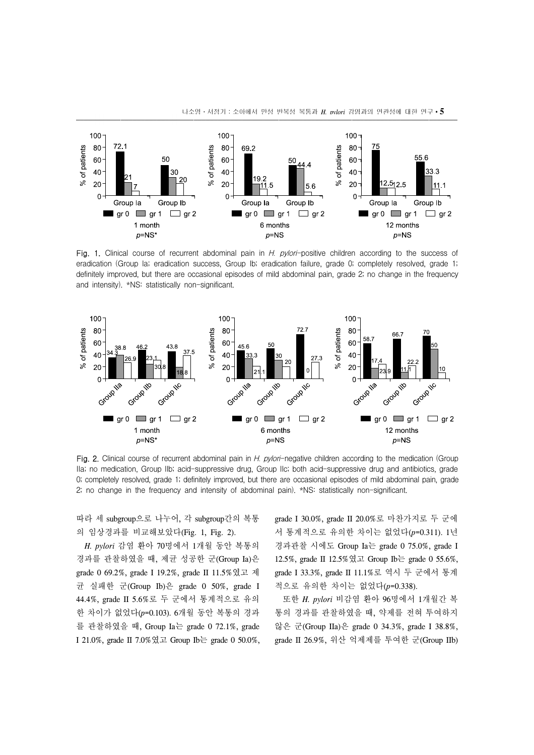

나소영․서정기:소아에서 만성 반복성 복통과 *H. pylori* 감염과의 연관성에 대한 연구∙**5**

Fig. 1. Clinical course of recurrent abdominal pain in H. pylori-positive children according to the success of eradication (Group Ia; eradication success, Group Ib; eradication failure, grade 0; completely resolved, grade 1; definitely improved, but there are occasional episodes of mild abdominal pain, grade 2; no change in the frequency and intensity). \*NS: statistically non-significant.



Fig. 2. Clinical course of recurrent abdominal pain in H. pylori-negative children according to the medication (Group IIa; no medication, Group IIb; acid-suppressive drug, Group IIc; both acid-suppressive drug and antibiotics, grade 0; completely resolved, grade 1; definitely improved, but there are occasional episodes of mild abdominal pain, grade 2; no change in the frequency and intensity of abdominal pain). \*NS: statistically non-significant.

따라 세 subgroup으로 나누어, 각 subgroup간의 복통 의 임상경과를 비교해보았다(Fig. 1, Fig. 2).

 *H. pylori* 감염 환아 70명에서 1개월 동안 복통의 경과를 관찰하였을 때, 제균 성공한 군(Group Ia)은 grade 0 69.2%, grade I 19.2%, grade II 11.5%였고 제 균 실패한 군(Group Ib)은 grade 0 50%, grade I 44.4%, grade II 5.6%로 두 군에서 통계적으로 유의 한 차이가 없었다(*p*=0.103). 6개월 동안 복통의 경과 를 관찰하였을 때, Group Ia는 grade 0 72.1%, grade I 21.0%, grade II 7.0%였고 Group Ib는 grade 0 50.0%, grade I 30.0%, grade II 20.0%로 마찬가지로 두 군에 서 통계적으로 유의한 차이는 없었다(*p*=0.311). 1년 경과관찰 시에도 Group Ia는 grade 0 75.0%, grade I 12.5%, grade II 12.5%였고 Group Ib는 grade 0 55.6%, grade I 33.3%, grade II 11.1%로 역시 두 군에서 통계 적으로 유의한 차이는 없었다(*p*=0.338).

 또한 *H. pylori* 비감염 환아 96명에서 1개월간 복 통의 경과를 관찰하였을 때, 약제를 전혀 투여하지 않은 군(Group IIa)은 grade 0 34.3%, grade I 38.8%, grade II 26.9%, 위산 억제제를 투여한 군(Group IIb)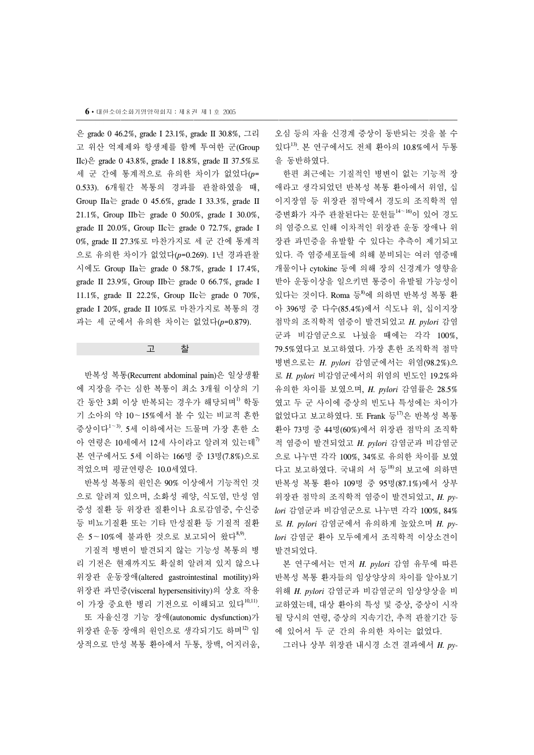은 grade 0 46.2%, grade I 23.1%, grade II 30.8%, 그리 고 위산 억제제와 항생제를 함께 투여한 군(Group IIc)은 grade 0 43.8%, grade I 18.8%, grade II 37.5%로 세 군 간에 통계적으로 유의한 차이가 없었다(*p*= 0.533). 6개월간 복통의 경과를 관찰하였을 때, Group IIa  $\equiv$  grade 0 45.6%, grade I 33.3%, grade II 21.1%, Group IIb는 grade 0 50.0%, grade I 30.0%, grade II 20.0%, Group IIc  $\equiv$  grade 0 72.7%, grade I 0%, grade II 27.3%로 마찬가지로 세 군 간에 통계적 으로 유의한 차이가 없었다(*p*=0.269). 1년 경과관찰 시에도 Group IIa는 grade 0 58.7%, grade I 17.4%, grade II 23.9%, Group IIb $\equiv$  grade 0 66.7%, grade I 11.1%, grade II 22.2%, Group IIc는 grade 0 70%, grade I 20%, grade II 10%로 마찬가지로 복통의 경 과는 세 군에서 유의한 차이는 없었다(*p*=0.879).

## 고 찰

 반복성 복통(Recurrent abdominal pain)은 일상생활 에 지장을 주는 심한 복통이 최소 3개월 이상의 기 간 동안 3회 이상 반복되는 경우가 해당되며<sup>1)</sup> 학동 기 소아의 약 10∼15%에서 볼 수 있는 비교적 흔한 증상이다<sup>1</sup>∼3). 5세 이하에서는 드물며 가장 흔한 소 아 연령은 10세에서 12세 사이라고 알려져 있는데<sup>7)</sup> 본 연구에서도 5세 이하는 166명 중 13명(7.8%)으로 적었으며 평균연령은 10.0세였다.

 반복성 복통의 원인은 90% 이상에서 기능적인 것 으로 알려져 있으며, 소화성 궤양, 식도염, 만성 염 증성 질환 등 위장관 질환이나 요로감염증, 수신증 등 비뇨기질환 또는 기타 만성질환 등 기질적 질환 은 5∼10%에 불과한 것으로 보고되어 왔다8,9).

 기질적 병변이 발견되지 않는 기능성 복통의 병 리 기전은 현재까지도 확실히 알려져 있지 않으나 위장관 운동장애(altered gastrointestinal motility)와 위장관 과민증(visceral hypersensitivity)의 상호 작용 이 가장 중요한 병리 기전으로 이해되고 있다<sup>10,11</sup>. 또 자율신경 기능 장애(autonomic dysfunction)가 위장관 운동 장애의 원인으로 생각되기도 하며<sup>12)</sup> 임 상적으로 만성 복통 환아에서 두통, 창백, 어지러움,

오심 등의 자율 신경계 증상이 동반되는 것을 볼 수 있다13). 본 연구에서도 전체 환아의 10.8%에서 두통 을 동반하였다.

 한편 최근에는 기질적인 병변이 없는 기능적 장 애라고 생각되었던 반복성 복통 환아에서 위염, 십 이지장염 등 위장관 점막에서 경도의 조직학적 염 증변화가 자주 관찰된다는 문헌들<sup>14</sup>∼16)이 있어 경도 의 염증으로 인해 이차적인 위장관 운동 장애나 위 장관 과민증을 유발할 수 있다는 추측이 제기되고 있다. 즉 염증세포들에 의해 분비되는 여러 염증매 개물이나 cytokine 등에 의해 장의 신경계가 영향을 받아 운동이상을 일으키면 통증이 유발될 가능성이 있다는 것이다. Roma 등 $8$ 에 의하면 반복성 복통 환 아 396명 중 다수(85.4%)에서 식도나 위, 십이지장 점막의 조직학적 염증이 발견되었고 *H. pylori* 감염 군과 비감염군으로 나눴을 때에는 각각 100%, 79.5%였다고 보고하였다. 가장 흔한 조직학적 점막 병변으로는 *H. pylori* 감염군에서는 위염(98.2%)으 로 *H. pylori* 비감염군에서의 위염의 빈도인 19.2%와 유의한 차이를 보였으며, *H. pylori* 감염률은 28.5% 였고 두 군 사이에 증상의 빈도나 특성에는 차이가 없었다고 보고하였다. 또 Frank 등<sup>17)</sup>은 반복성 복통 환아 73명 중 44명(60%)에서 위장관 점막의 조직학 적 염증이 발견되었고 *H. pylori* 감염군과 비감염군 으로 나누면 각각 100%, 34%로 유의한 차이를 보였 다고 보고하였다. 국내의 서 등18)의 보고에 의하면 반복성 복통 환아 109명 중 95명(87.1%)에서 상부 위장관 점막의 조직학적 염증이 발견되었고, *H. pylori* 감염군과 비감염군으로 나누면 각각 100%, 84% 로 *H. pylori* 감염군에서 유의하게 높았으며 *H. pylori* 감염군 환아 모두에게서 조직학적 이상소견이 발견되었다.

 본 연구에서는 먼저 *H. pylori* 감염 유무에 따른 반복성 복통 환자들의 임상양상의 차이를 알아보기 위해 *H. pylori* 감염군과 비감염군의 임상양상을 비 교하였는데, 대상 환아의 특성 및 증상, 증상이 시작 될 당시의 연령, 증상의 지속기간, 추적 관찰기간 등 에 있어서 두 군 간의 유의한 차이는 없었다.

그러나 상부 위장관 내시경 소견 결과에서 *H. py-*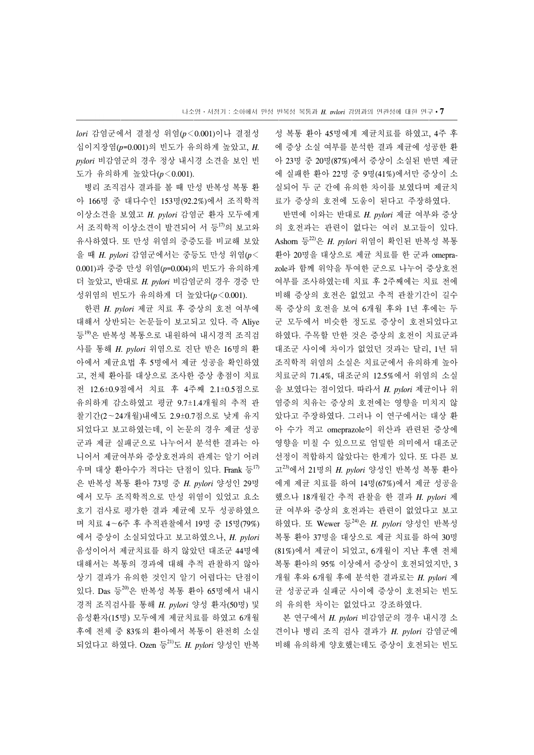*lori* 감염군에서 결절성 위염(*p*<0.001)이나 결절성 십이지장염(*p*=0.001)의 빈도가 유의하게 높았고, *H. pylori* 비감염군의 경우 정상 내시경 소견을 보인 빈 도가 유의하게 높았다(*p*<0.001).

 병리 조직검사 결과를 볼 때 만성 반복성 복통 환 아 166명 중 대다수인 153명(92.2%)에서 조직학적 이상소견을 보였고 *H. pylori* 감염군 환자 모두에게 서 조직학적 이상소견이 발견되어 서 등<sup>17)</sup>의 보고와 유사하였다. 또 만성 위염의 중증도를 비교해 보았 을 때 *H. pylori* 감염군에서는 중등도 만성 위염(*p*< 0.001)과 중증 만성 위염(*p*=0.004)의 빈도가 유의하게 더 높았고, 반대로 *H. pylori* 비감염군의 경우 경증 만 성위염의 빈도가 유의하게 더 높았다(*p*<0.001).

 한편 *H. pylori* 제균 치료 후 증상의 호전 여부에 대해서 상반되는 논문들이 보고되고 있다. 즉 Aliye 등<sup>19)</sup>은 반복성 복통으로 내원하여 내시경적 조직검 사를 통해 *H. pylori* 위염으로 진단 받은 16명의 환 아에서 제균요법 후 5명에서 제균 성공을 확인하였 고, 전체 환아를 대상으로 조사한 증상 총점이 치료 전 12.6±0.9점에서 치료 후 4주째 2.1±0.5점으로 유의하게 감소하였고 평균 9.7±1.4개월의 추적 관 찰기간(2∼24개월)내에도 2.9±0.7점으로 낮게 유지 되었다고 보고하였는데, 이 논문의 경우 제균 성공 군과 제균 실패군으로 나누어서 분석한 결과는 아 니어서 제균여부와 증상호전과의 관계는 알기 어려 우며 대상 환아수가 적다는 단점이 있다. Frank 등 $^{17}$ 은 반복성 복통 환아 73명 중 *H. pylori* 양성인 29명 에서 모두 조직학적으로 만성 위염이 있었고 요소 호기 검사로 평가한 결과 제균에 모두 성공하였으 며 치료 4∼6주 후 추적관찰에서 19명 중 15명(79%) 에서 증상이 소실되었다고 보고하였으나, *H. pylori*  음성이어서 제균치료를 하지 않았던 대조군 44명에 대해서는 복통의 경과에 대해 추적 관찰하지 않아 상기 결과가 유의한 것인지 알기 어렵다는 단점이 있다. Das 등20)은 반복성 복통 환아 65명에서 내시 경적 조직검사를 통해 *H. pylori* 양성 환자(50명) 및 음성환자(15명) 모두에게 제균치료를 하였고 6개월 후에 전체 중 83%의 환아에서 복통이 완전히 소실 되었다고 하였다. Ozen 등21)도 *H. pylori* 양성인 반복

성 복통 환아 45명에게 제균치료를 하였고, 4주 후 에 증상 소실 여부를 분석한 결과 제균에 성공한 환 아 23명 중 20명(87%)에서 증상이 소실된 반면 제균 에 실패한 환아 22명 중 9명(41%)에서만 증상이 소 실되어 두 군 간에 유의한 차이를 보였다며 제균치 료가 증상의 호전에 도움이 된다고 주장하였다.

 반면에 이와는 반대로 *H. pylori* 제균 여부와 증상 의 호전과는 관련이 없다는 여러 보고들이 있다. Ashorn 등22)은 *H. pylori* 위염이 확인된 반복성 복통 환아 20명을 대상으로 제균 치료를 한 군과 omeprazole과 함께 위약을 투여한 군으로 나누어 증상호전 여부를 조사하였는데 치료 후 2주째에는 치료 전에 비해 증상의 호전은 없었고 추적 관찰기간이 길수 록 증상의 호전을 보여 6개월 후와 1년 후에는 두 군 모두에서 비슷한 정도로 증상이 호전되었다고 하였다. 주목할 만한 것은 증상의 호전이 치료군과 대조군 사이에 차이가 없었던 것과는 달리, 1년 뒤 조직학적 위염의 소실은 치료군에서 유의하게 높아 치료군의 71.4%, 대조군의 12.5%에서 위염의 소실 을 보였다는 점이었다. 따라서 *H. pylori* 제균이나 위 염증의 치유는 증상의 호전에는 영향을 미치지 않 았다고 주장하였다. 그러나 이 연구에서는 대상 환 아 수가 적고 omeprazole이 위산과 관련된 증상에 영향을 미칠 수 있으므로 엄밀한 의미에서 대조군 선정이 적합하지 않았다는 한계가 있다. 또 다른 보 고23)에서 21명의 *H. pylori* 양성인 반복성 복통 환아 에게 제균 치료를 하여 14명(67%)에서 제균 성공을 했으나 18개월간 추적 관찰을 한 결과 *H. pylori* 제 균 여부와 증상의 호전과는 관련이 없었다고 보고 하였다. 또 Wewer 등24)은 *H. pylori* 양성인 반복성 복통 환아 37명을 대상으로 제균 치료를 하여 30명 (81%)에서 제균이 되었고, 6개월이 지난 후엔 전체 복통 환아의 95% 이상에서 증상이 호전되었지만, 3 개월 후와 6개월 후에 분석한 결과로는 *H. pylori* 제 균 성공군과 실패군 사이에 증상이 호전되는 빈도 의 유의한 차이는 없었다고 강조하였다.

 본 연구에서 *H. pylori* 비감염군의 경우 내시경 소 견이나 병리 조직 검사 결과가 *H. pylori* 감염군에 비해 유의하게 양호했는데도 증상이 호전되는 빈도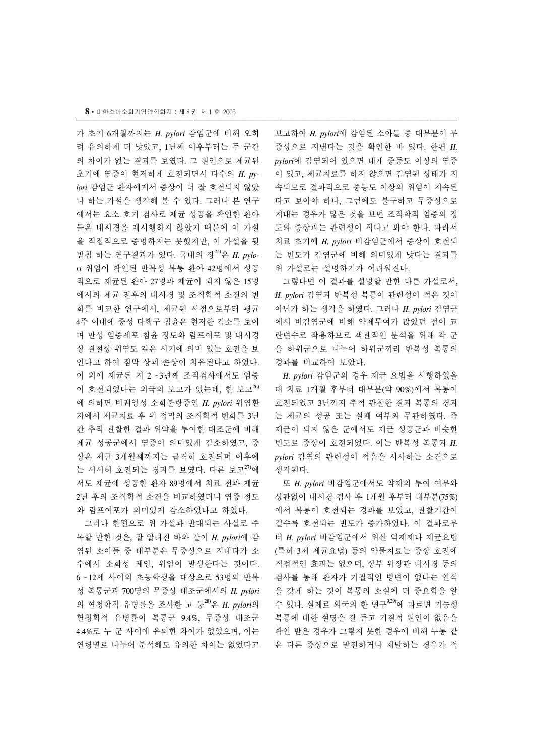가 초기 6개월까지는 *H. pylori* 감염군에 비해 오히 려 유의하게 더 낮았고, 1년째 이후부터는 두 군간 의 차이가 없는 결과를 보였다. 그 원인으로 제균된 초기에 염증이 현저하게 호전되면서 다수의 *H. pylori* 감염군 환자에게서 증상이 더 잘 호전되지 않았 나 하는 가설을 생각해 볼 수 있다. 그러나 본 연구 에서는 요소 호기 검사로 제균 성공을 확인한 환아 들은 내시경을 재시행하지 않았기 때문에 이 가설 을 직접적으로 증명하지는 못했지만, 이 가설을 뒷 받침 하는 연구결과가 있다. 국내의 장*25)*은 *H. pylori* 위염이 확인된 반복성 복통 환아 42명에서 성공 적으로 제균된 환아 27명과 제균이 되지 않은 15명 에서의 제균 전후의 내시경 및 조직학적 소견의 변 화를 비교한 연구에서, 제균된 시점으로부터 평균 4주 이내에 중성 다핵구 침윤은 현저한 감소를 보이 며 만성 염증세포 침윤 정도와 림프여포 및 내시경 상 결절상 위염도 같은 시기에 의미 있는 호전을 보 인다고 하여 점막 상피 손상이 치유된다고 하였다. 이 외에 제균된 지 2∼3년째 조직검사에서도 염증 이 호전되었다는 외국의 보고가 있는데, 한 보고26) 에 의하면 비궤양성 소화불량증인 *H. pylori* 위염환 자에서 제균치료 후 위 점막의 조직학적 변화를 3년 간 추적 관찰한 결과 위약을 투여한 대조군에 비해 제균 성공군에서 염증이 의미있게 감소하였고, 증 상은 제균 3개월째까지는 급격히 호전되며 이후에 는 서서히 호전되는 경과를 보였다. 다른 보고<sup>27)</sup>에 서도 제균에 성공한 환자 89명에서 치료 전과 제균 2년 후의 조직학적 소견을 비교하였더니 염증 정도 와 림프여포가 의미있게 감소하였다고 하였다.

 그러나 한편으로 위 가설과 반대되는 사실로 주 목할 만한 것은, 잘 알려진 바와 같이 *H. pylori*에 감 염된 소아들 중 대부분은 무증상으로 지내다가 소 수에서 소화성 궤양, 위암이 발생한다는 것이다. 6∼12세 사이의 초등학생을 대상으로 53명의 반복 성 복통군과 700명의 무증상 대조군에서의 *H. pylori* 의 혈청학적 유병률을 조사한 고 등28)은 *H. pylori*의 혈청학적 유병률이 복통군 9.4%, 무증상 대조군 4.4%로 두 군 사이에 유의한 차이가 없었으며, 이는 연령별로 나누어 분석해도 유의한 차이는 없었다고 보고하여 *H. pylori*에 감염된 소아들 중 대부분이 무 증상으로 지낸다는 것을 확인한 바 있다. 한편 *H. pylori*에 감염되어 있으면 대개 중등도 이상의 염증 이 있고, 제균치료를 하지 않으면 감염된 상태가 지 속되므로 결과적으로 중등도 이상의 위염이 지속된 다고 보아야 하나, 그럼에도 불구하고 무증상으로 지내는 경우가 많은 것을 보면 조직학적 염증의 정 도와 증상과는 관련성이 적다고 봐야 한다. 따라서 치료 초기에 *H. pylori* 비감염군에서 증상이 호전되 는 빈도가 감염군에 비해 의미있게 낮다는 결과를 위 가설로는 설명하기가 어려워진다.

 그렇다면 이 결과를 설명할 만한 다른 가설로서, *H. pylori* 감염과 반복성 복통이 관련성이 적은 것이 아닌가 하는 생각을 하였다. 그러나 *H. pylori* 감염군 에서 비감염군에 비해 약제투여가 많았던 점이 교 란변수로 작용하므로 객관적인 분석을 위해 각 군 을 하위군으로 나누어 하위군끼리 반복성 복통의 경과를 비교하여 보았다.

 *H. pylori* 감염군의 경우 제균 요법을 시행하였을 때 치료 1개월 후부터 대부분(약 90%)에서 복통이 호전되었고 3년까지 추적 관찰한 결과 복통의 경과 는 제균의 성공 또는 실패 여부와 무관하였다. 즉 제균이 되지 않은 군에서도 제균 성공군과 비슷한 빈도로 증상이 호전되었다. 이는 반복성 복통과 *H. pylori* 감염의 관련성이 적음을 시사하는 소견으로 생각된다.

 또 *H. pylori* 비감염군에서도 약제의 투여 여부와 상관없이 내시경 검사 후 1개월 후부터 대부분(75%) 에서 복통이 호전되는 경과를 보였고, 관찰기간이 길수록 호전되는 빈도가 증가하였다. 이 결과로부 터 *H. pylori* 비감염군에서 위산 억제제나 제균요법 (특히 3제 제균요법) 등의 약물치료는 증상 호전에 직접적인 효과는 없으며, 상부 위장관 내시경 등의 검사를 통해 환자가 기질적인 병변이 없다는 인식 을 갖게 하는 것이 복통의 소실에 더 중요함을 알 수 있다. 실제로 외국의 한 연구9,29)에 따르면 기능성 복통에 대한 설명을 잘 듣고 기질적 원인이 없음을 확인 받은 경우가 그렇지 못한 경우에 비해 두통 같 은 다른 증상으로 발전하거나 재발하는 경우가 적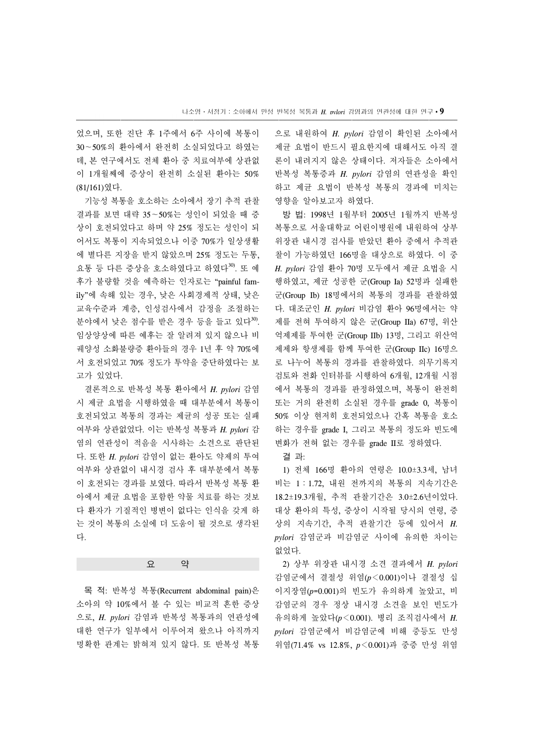었으며, 또한 진단 후 1주에서 6주 사이에 복통이 30∼50%의 환아에서 완전히 소실되었다고 하였는 데, 본 연구에서도 전체 환아 중 치료여부에 상관없 이 1개월째에 증상이 완전히 소실된 환아는 50% (81/161)였다.

 기능성 복통을 호소하는 소아에서 장기 추적 관찰 결과를 보면 대략 35∼50%는 성인이 되었을 때 증 상이 호전되었다고 하며 약 25% 정도는 성인이 되 어서도 복통이 지속되었으나 이중 70%가 일상생활 에 별다른 지장을 받지 않았으며 25% 정도는 두통, 요통 등 다른 증상을 호소하였다고 하였다<sup>30)</sup>. 또 예 후가 불량할 것을 예측하는 인자로는 "painful family"에 속해 있는 경우, 낮은 사회경제적 상태, 낮은 교육수준과 계층, 인성검사에서 감정을 조절하는 분야에서 낮은 점수를 받은 경우 등을 들고 있다<sup>30</sup>. 임상양상에 따른 예후는 잘 알려져 있지 않으나 비 궤양성 소화불량증 환아들의 경우 1년 후 약 70%에 서 호전되었고 70% 정도가 투약을 중단하였다는 보 고가 있었다.

 결론적으로 반복성 복통 환아에서 *H. pylori* 감염 시 제균 요법을 시행하였을 때 대부분에서 복통이 호전되었고 복통의 경과는 제균의 성공 또는 실패 여부와 상관없었다. 이는 반복성 복통과 *H. pylori* 감 염의 연관성이 적음을 시사하는 소견으로 판단된 다. 또한 *H. pylori* 감염이 없는 환아도 약제의 투여 여부와 상관없이 내시경 검사 후 대부분에서 복통 이 호전되는 경과를 보였다. 따라서 반복성 복통 환 아에서 제균 요법을 포함한 약물 치료를 하는 것보 다 환자가 기질적인 병변이 없다는 인식을 갖게 하 는 것이 복통의 소실에 더 도움이 될 것으로 생각된 다.

요 약

 목 적: 반복성 복통(Recurrent abdominal pain)은 소아의 약 10%에서 볼 수 있는 비교적 흔한 증상 으로, *H. pylori* 감염과 반복성 복통과의 연관성에 대한 연구가 일부에서 이루어져 왔으나 아직까지 명확한 관계는 밝혀져 있지 않다. 또 반복성 복통 으로 내원하여 *H. pylori* 감염이 확인된 소아에서 제균 요법이 반드시 필요한지에 대해서도 아직 결 론이 내려지지 않은 상태이다. 저자들은 소아에서 반복성 복통증과 *H. pylori* 감염의 연관성을 확인 하고 제균 요법이 반복성 복통의 경과에 미치는 영향을 알아보고자 하였다.

 방 법: 1998년 1월부터 2005년 1월까지 반복성 복통으로 서울대학교 어린이병원에 내원하여 상부 위장관 내시경 검사를 받았던 환아 중에서 추적관 찰이 가능하였던 166명을 대상으로 하였다. 이 중 *H. pylori* 감염 환아 70명 모두에서 제균 요법을 시 행하였고, 제균 성공한 군(Group Ia) 52명과 실패한 군(Group Ib) 18명에서의 복통의 경과를 관찰하였 다. 대조군인 *H. pylori* 비감염 환아 96명에서는 약 제를 전혀 투여하지 않은 군(Group IIa) 67명, 위산 억제제를 투여한 군(Group IIb) 13명, 그리고 위산억 제제와 항생제를 함께 투여한 군(Group IIc) 16명으 로 나누어 복통의 경과를 관찰하였다. 의무기록지 검토와 전화 인터뷰를 시행하여 6개월, 12개월 시점 에서 복통의 경과를 판정하였으며, 복통이 완전히 또는 거의 완전히 소실된 경우를 grade 0, 복통이 50% 이상 현저히 호전되었으나 간혹 복통을 호소 하는 경우를 grade I, 그리고 복통의 정도와 빈도에 변화가 전혀 없는 경우를 grade II로 정하였다.

결 과:

 1) 전체 166명 환아의 연령은 10.0±3.3세, 남녀 비는 1:1.72, 내원 전까지의 복통의 지속기간은 18.2±19.3개월, 추적 관찰기간은 3.0±2.6년이었다. 대상 환아의 특성, 증상이 시작될 당시의 연령, 증 상의 지속기간, 추적 관찰기간 등에 있어서 *H. pylori* 감염군과 비감염군 사이에 유의한 차이는 없었다.

 2) 상부 위장관 내시경 소견 결과에서 *H. pylori* 감염군에서 결절성 위염(*p*<0.001)이나 결절성 십 이지장염(*p*=0.001)의 빈도가 유의하게 높았고, 비 감염군의 경우 정상 내시경 소견을 보인 빈도가 유의하게 높았다(*p*<0.001). 병리 조직검사에서 *H. pylori* 감염군에서 비감염군에 비해 중등도 만성 위염(71.4% vs 12.8%, *p*<0.001)과 중증 만성 위염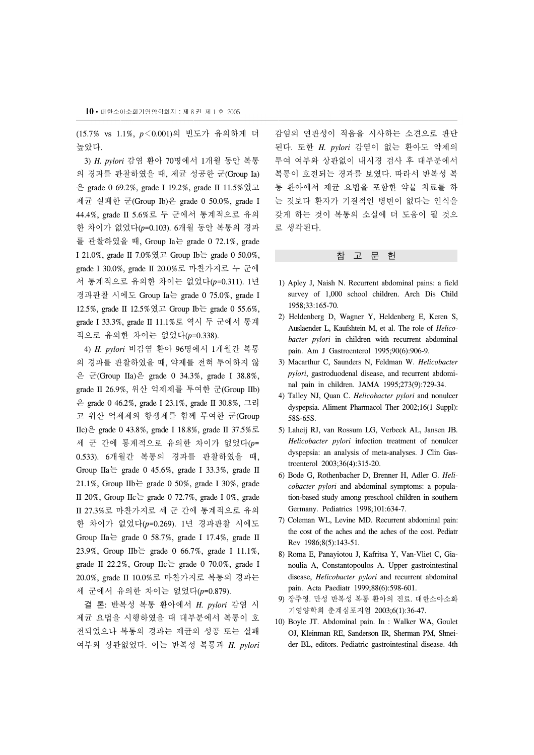(15.7% vs 1.1%, *p*<0.001)의 빈도가 유의하게 더 높았다.

 3) *H. pylori* 감염 환아 70명에서 1개월 동안 복통 의 경과를 관찰하였을 때, 제균 성공한 군(Group Ia) 은 grade 0 69.2%, grade I 19.2%, grade II 11.5%였고 제균 실패한 군(Group Ib)은 grade 0 50.0%, grade I 44.4%, grade II 5.6%로 두 군에서 통계적으로 유의 한 차이가 없었다(*p*=0.103). 6개월 동안 복통의 경과 를 관찰하였을 때, Group Ia는 grade 0 72.1%, grade I 21.0%, grade II 7.0%였고 Group Ib는 grade 0 50.0%, grade I 30.0%, grade II 20.0%로 마찬가지로 두 군에 서 통계적으로 유의한 차이는 없었다(*p*=0.311). 1년 경과관찰 시에도 Group Ia는 grade 0 75.0%, grade I 12.5%, grade II 12.5%였고 Group Ib는 grade 0 55.6%, grade I 33.3%, grade II 11.1%로 역시 두 군에서 통계 적으로 유의한 차이는 없었다(*p*=0.338).

 4) *H. pylori* 비감염 환아 96명에서 1개월간 복통 의 경과를 관찰하였을 때, 약제를 전혀 투여하지 않 은 군(Group IIa)은 grade 0 34.3%, grade I 38.8%, grade II 26.9%, 위산 억제제를 투여한 군(Group IIb) 은 grade 0 46.2%, grade I 23.1%, grade II 30.8%, 그리 고 위산 억제제와 항생제를 함께 투여한 군(Group IIc)은 grade 0 43.8%, grade I 18.8%, grade II 37.5%로 세 군 간에 통계적으로 유의한 차이가 없었다(*p*= 0.533). 6개월간 복통의 경과를 관찰하였을 때, Group IIa는 grade 0 45.6%, grade I 33.3%, grade II 21.1%, Group IIb는 grade 0 50%, grade I 30%, grade II 20%, Group IIc  $\equiv$  grade 0 72.7%, grade I 0%, grade II 27.3%로 마찬가지로 세 군 간에 통계적으로 유의 한 차이가 없었다(*p*=0.269). 1년 경과관찰 시에도 Group IIa  $\equiv$  grade 0 58.7%, grade I 17.4%, grade II 23.9%, Group IIb는 grade 0 66.7%, grade I 11.1%, grade II 22.2%, Group IIc $\equiv$  grade 0 70.0%, grade I 20.0%, grade II 10.0%로 마찬가지로 복통의 경과는 세 군에서 유의한 차이는 없었다(*p*=0.879).

 결 론: 반복성 복통 환아에서 *H. pylori* 감염 시 제균 요법을 시행하였을 때 대부분에서 복통이 호 전되었으나 복통의 경과는 제균의 성공 또는 실패 여부와 상관없었다. 이는 반복성 복통과 *H. pylori* 

감염의 연관성이 적음을 시사하는 소견으로 판단 된다. 또한 *H. pylori* 감염이 없는 환아도 약제의 투여 여부와 상관없이 내시경 검사 후 대부분에서 복통이 호전되는 경과를 보였다. 따라서 반복성 복 통 환아에서 제균 요법을 포함한 약물 치료를 하 는 것보다 환자가 기질적인 병변이 없다는 인식을 갖게 하는 것이 복통의 소실에 더 도움이 될 것으 로 생각된다.

#### 참 고 문 헌

- 1) Apley J, Naish N. Recurrent abdominal pains: a field survey of 1,000 school children. Arch Dis Child 1958;33:165-70.
- 2) Heldenberg D, Wagner Y, Heldenberg E, Keren S, Auslaender L, Kaufshtein M, et al. The role of *Helicobacter pylori* in children with recurrent abdominal pain. Am J Gastroenterol 1995;90(6):906-9.
- 3) Macarthur C, Saunders N, Feldman W. *Helicobacter pylori*, gastroduodenal disease, and recurrent abdominal pain in children. JAMA 1995;273(9):729-34.
- 4) Talley NJ, Quan C. *Helicobacter pylori* and nonulcer dyspepsia. Aliment Pharmacol Ther 2002;16(1 Suppl): 58S-65S.
- 5) Laheij RJ, van Rossum LG, Verbeek AL, Jansen JB. *Helicobacter pylori* infection treatment of nonulcer dyspepsia: an analysis of meta-analyses. J Clin Gastroenterol 2003;36(4):315-20.
- 6) Bode G, Rothenbacher D, Brenner H, Adler G. *Helicobacter pylori* and abdominal symptoms: a population-based study among preschool children in southern Germany. Pediatrics 1998;101:634-7.
- 7) Coleman WL, Levine MD. Recurrent abdominal pain: the cost of the aches and the aches of the cost. Pediatr Rev 1986;8(5):143-51.
- 8) Roma E, Panayiotou J, Kafritsa Y, Van-Vliet C, Gianoulia A, Constantopoulos A. Upper gastrointestinal disease, *Helicobacter pylori* and recurrent abdominal pain. Acta Paediatr 1999;88(6):598-601.
- 9) 장주영. 만성 반복성 복통 환아의 진료. 대한소아소화 기영양학회 춘계심포지엄 2003;6(1):36-47.
- 10) Boyle JT. Abdominal pain. In : Walker WA, Goulet OJ, Kleinman RE, Sanderson IR, Sherman PM, Shneider BL, editors. Pediatric gastrointestinal disease. 4th